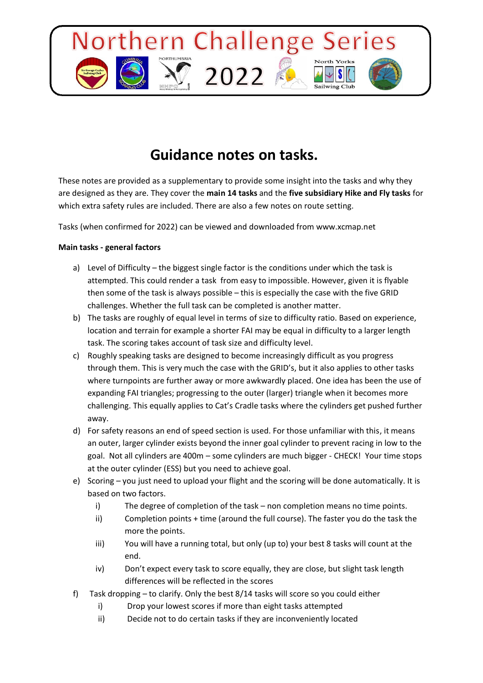**Northern Challenge Series** 

**2022**

# **Guidance notes on tasks.**

These notes are provided as a supplementary to provide some insight into the tasks and why they are designed as they are. They cover the **main 14 tasks** and the **five subsidiary Hike and Fly tasks** for which extra safety rules are included. There are also a few notes on route setting.

Tasks (when confirmed for 2022) can be viewed and downloaded from www.xcmap.net

## **Main tasks - general factors**

- a) Level of Difficulty the biggest single factor is the conditions under which the task is attempted. This could render a task from easy to impossible. However, given it is flyable then some of the task is always possible – this is especially the case with the five GRID challenges. Whether the full task can be completed is another matter.
- b) The tasks are roughly of equal level in terms of size to difficulty ratio. Based on experience, location and terrain for example a shorter FAI may be equal in difficulty to a larger length task. The scoring takes account of task size and difficulty level.
- c) Roughly speaking tasks are designed to become increasingly difficult as you progress through them. This is very much the case with the GRID's, but it also applies to other tasks where turnpoints are further away or more awkwardly placed. One idea has been the use of expanding FAI triangles; progressing to the outer (larger) triangle when it becomes more challenging. This equally applies to Cat's Cradle tasks where the cylinders get pushed further away.
- d) For safety reasons an end of speed section is used. For those unfamiliar with this, it means an outer, larger cylinder exists beyond the inner goal cylinder to prevent racing in low to the goal. Not all cylinders are 400m – some cylinders are much bigger - CHECK! Your time stops at the outer cylinder (ESS) but you need to achieve goal.
- e) Scoring you just need to upload your flight and the scoring will be done automatically. It is based on two factors.
	- i) The degree of completion of the task non completion means no time points.
	- ii) Completion points + time (around the full course). The faster you do the task the more the points.
	- iii) You will have a running total, but only (up to) your best 8 tasks will count at the end.
	- iv) Don't expect every task to score equally, they are close, but slight task length differences will be reflected in the scores
- f) Task dropping to clarify. Only the best 8/14 tasks will score so you could either
	- i) Drop your lowest scores if more than eight tasks attempted
	- ii) Decide not to do certain tasks if they are inconveniently located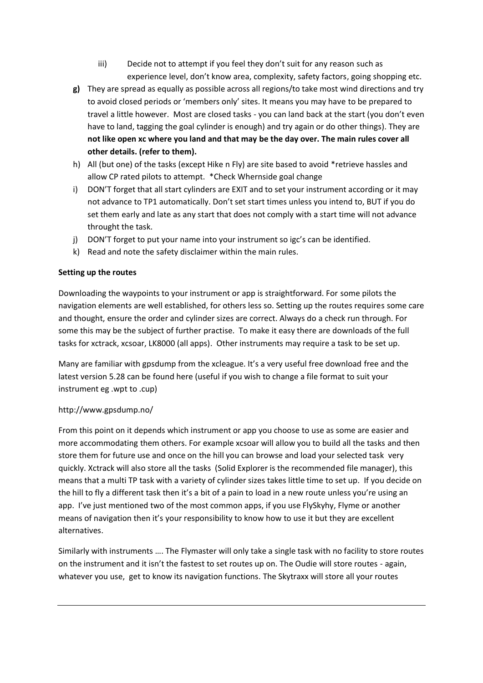- iii) Decide not to attempt if you feel they don't suit for any reason such as experience level, don't know area, complexity, safety factors, going shopping etc.
- **g)** They are spread as equally as possible across all regions/to take most wind directions and try to avoid closed periods or 'members only' sites. It means you may have to be prepared to travel a little however. Most are closed tasks - you can land back at the start (you don't even have to land, tagging the goal cylinder is enough) and try again or do other things). They are **not like open xc where you land and that may be the day over. The main rules cover all other details. (refer to them).**
- h) All (but one) of the tasks (except Hike n Fly) are site based to avoid \*retrieve hassles and allow CP rated pilots to attempt. \*Check Whernside goal change
- i) DON'T forget that all start cylinders are EXIT and to set your instrument according or it may not advance to TP1 automatically. Don't set start times unless you intend to, BUT if you do set them early and late as any start that does not comply with a start time will not advance throught the task.
- j) DON'T forget to put your name into your instrument so igc's can be identified.
- k) Read and note the safety disclaimer within the main rules.

# **Setting up the routes**

Downloading the waypoints to your instrument or app is straightforward. For some pilots the navigation elements are well established, for others less so. Setting up the routes requires some care and thought, ensure the order and cylinder sizes are correct. Always do a check run through. For some this may be the subject of further practise. To make it easy there are downloads of the full tasks for xctrack, xcsoar, LK8000 (all apps). Other instruments may require a task to be set up.

Many are familiar with gpsdump from the xcleague. It's a very useful free download free and the latest version 5.28 can be found here (useful if you wish to change a file format to suit your instrument eg .wpt to .cup)

# http://www.gpsdump.no/

From this point on it depends which instrument or app you choose to use as some are easier and more accommodating them others. For example xcsoar will allow you to build all the tasks and then store them for future use and once on the hill you can browse and load your selected task very quickly. Xctrack will also store all the tasks (Solid Explorer is the recommended file manager), this means that a multi TP task with a variety of cylinder sizes takes little time to set up. If you decide on the hill to fly a different task then it's a bit of a pain to load in a new route unless you're using an app. I've just mentioned two of the most common apps, if you use FlySkyhy, Flyme or another means of navigation then it's your responsibility to know how to use it but they are excellent alternatives.

Similarly with instruments …. The Flymaster will only take a single task with no facility to store routes on the instrument and it isn't the fastest to set routes up on. The Oudie will store routes - again, whatever you use, get to know its navigation functions. The Skytraxx will store all your routes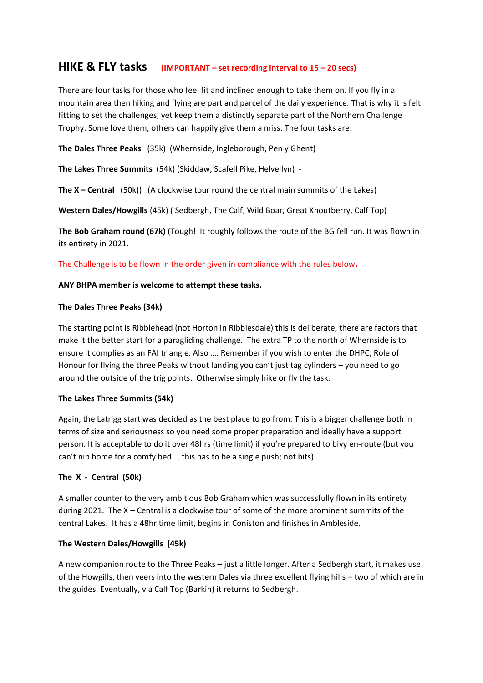# **HIKE & FLY tasks (IMPORTANT – set recording interval to 15 – 20 secs)**

There are four tasks for those who feel fit and inclined enough to take them on. If you fly in a mountain area then hiking and flying are part and parcel of the daily experience. That is why it is felt fitting to set the challenges, yet keep them a distinctly separate part of the Northern Challenge Trophy. Some love them, others can happily give them a miss. The four tasks are:

**The Dales Three Peaks** (35k) (Whernside, Ingleborough, Pen y Ghent)

**The Lakes Three Summits** (54k) (Skiddaw, Scafell Pike, Helvellyn) -

**The X – Central** (50k)) (A clockwise tour round the central main summits of the Lakes)

**Western Dales/Howgills** (45k) ( Sedbergh, The Calf, Wild Boar, Great Knoutberry, Calf Top)

**The Bob Graham round (67k)** (Tough! It roughly follows the route of the BG fell run. It was flown in its entirety in 2021.

The Challenge is to be flown in the order given in compliance with the rules below**.**

#### **ANY BHPA member is welcome to attempt these tasks.**

#### **The Dales Three Peaks (34k)**

The starting point is Ribblehead (not Horton in Ribblesdale) this is deliberate, there are factors that make it the better start for a paragliding challenge. The extra TP to the north of Whernside is to ensure it complies as an FAI triangle. Also …. Remember if you wish to enter the DHPC, Role of Honour for flying the three Peaks without landing you can't just tag cylinders – you need to go around the outside of the trig points. Otherwise simply hike or fly the task.

#### **The Lakes Three Summits (54k)**

Again, the Latrigg start was decided as the best place to go from. This is a bigger challenge both in terms of size and seriousness so you need some proper preparation and ideally have a support person. It is acceptable to do it over 48hrs (time limit) if you're prepared to bivy en-route (but you can't nip home for a comfy bed … this has to be a single push; not bits).

# **The X - Central (50k)**

A smaller counter to the very ambitious Bob Graham which was successfully flown in its entirety during 2021. The X – Central is a clockwise tour of some of the more prominent summits of the central Lakes. It has a 48hr time limit, begins in Coniston and finishes in Ambleside.

#### **The Western Dales/Howgills (45k)**

A new companion route to the Three Peaks – just a little longer. After a Sedbergh start, it makes use of the Howgills, then veers into the western Dales via three excellent flying hills – two of which are in the guides. Eventually, via Calf Top (Barkin) it returns to Sedbergh.